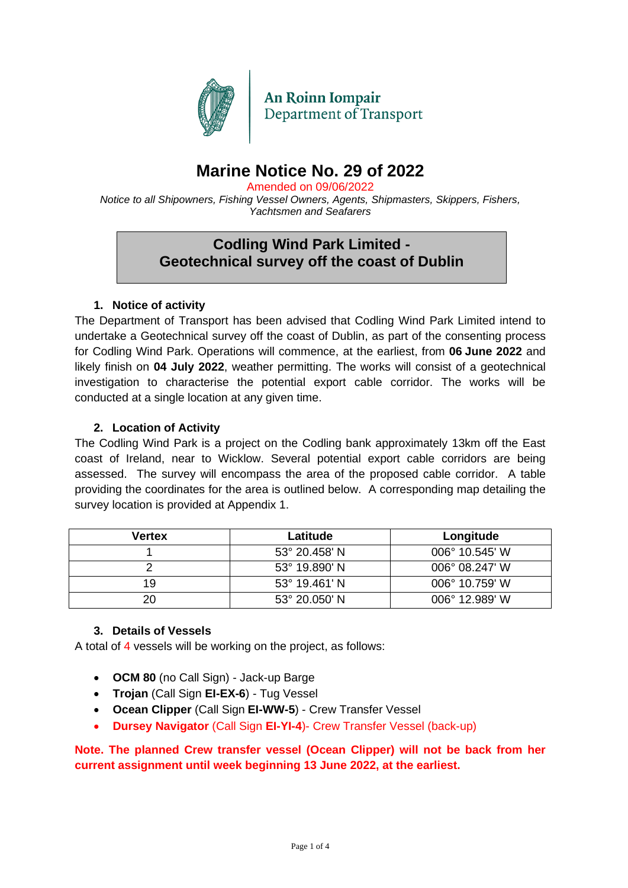

**An Roinn Iompair** Department of Transport

## **Marine Notice No. 29 of 2022**

Amended on 09/06/2022

*Notice to all Shipowners, Fishing Vessel Owners, Agents, Shipmasters, Skippers, Fishers, Yachtsmen and Seafarers*

### **Codling Wind Park Limited - Geotechnical survey off the coast of Dublin**

#### **1. Notice of activity**

The Department of Transport has been advised that Codling Wind Park Limited intend to undertake a Geotechnical survey off the coast of Dublin, as part of the consenting process for Codling Wind Park. Operations will commence, at the earliest, from **06 June 2022** and likely finish on **04 July 2022**, weather permitting. The works will consist of a geotechnical investigation to characterise the potential export cable corridor. The works will be conducted at a single location at any given time.

#### **2. Location of Activity**

The Codling Wind Park is a project on the Codling bank approximately 13km off the East coast of Ireland, near to Wicklow. Several potential export cable corridors are being assessed. The survey will encompass the area of the proposed cable corridor. A table providing the coordinates for the area is outlined below. A corresponding map detailing the survey location is provided at Appendix 1.

| <b>Vertex</b> | Latitude               | Longitude               |
|---------------|------------------------|-------------------------|
|               | 53° 20.458' N          | 006° 10.545' W          |
|               | 53° 19.890' N          | $006^{\circ}$ 08.247' W |
| 19            | $53^{\circ}$ 19.461' N | 006° 10.759' W          |
| 20            | $53^{\circ}$ 20.050' N | $006^{\circ}$ 12.989' W |

#### **3. Details of Vessels**

A total of 4 vessels will be working on the project, as follows:

- **OCM 80** (no Call Sign) Jack-up Barge
- **Trojan** (Call Sign **EI-EX-6**) Tug Vessel
- **Ocean Clipper** (Call Sign **EI-WW-5**) Crew Transfer Vessel
- **Dursey Navigator** (Call Sign **EI-YI-4**)- Crew Transfer Vessel (back-up)

#### **Note. The planned Crew transfer vessel (Ocean Clipper) will not be back from her current assignment until week beginning 13 June 2022, at the earliest.**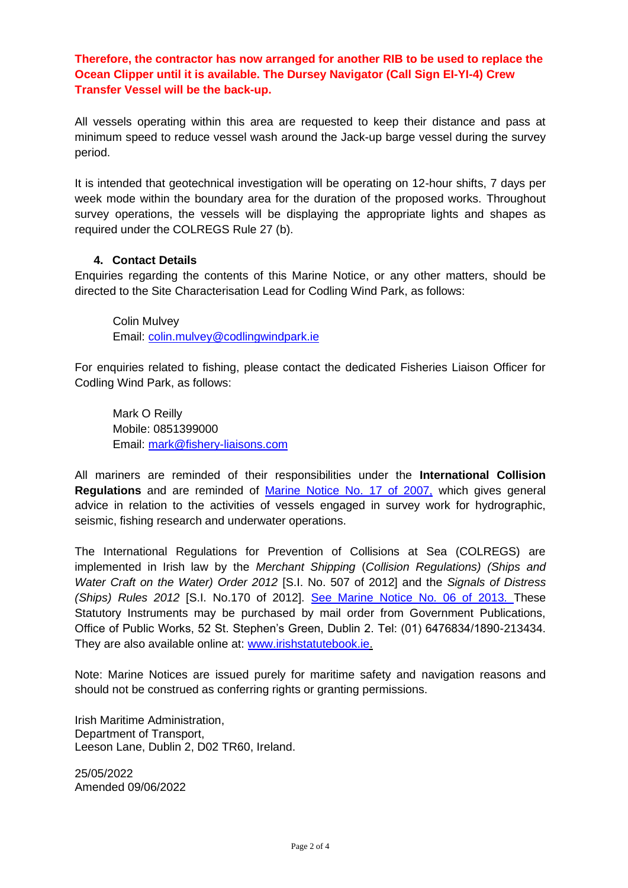**Therefore, the contractor has now arranged for another RIB to be used to replace the Ocean Clipper until it is available. The Dursey Navigator (Call Sign EI-YI-4) Crew Transfer Vessel will be the back-up.**

All vessels operating within this area are requested to keep their distance and pass at minimum speed to reduce vessel wash around the Jack-up barge vessel during the survey period.

It is intended that geotechnical investigation will be operating on 12-hour shifts, 7 days per week mode within the boundary area for the duration of the proposed works. Throughout survey operations, the vessels will be displaying the appropriate lights and shapes as required under the COLREGS Rule 27 (b).

#### **4. Contact Details**

Enquiries regarding the contents of this Marine Notice, or any other matters, should be directed to the Site Characterisation Lead for Codling Wind Park, as follows:

Colin Mulvey Email: [colin.mulvey@codlingwindpark.ie](mailto:colin.mulvey@codlingwindpark.ie)

For enquiries related to fishing, please contact the dedicated Fisheries Liaison Officer for Codling Wind Park, as follows:

Mark O Reilly Mobile: 0851399000 Email: [mark@fishery-liaisons.com](mailto:mark@fishery-liaisons.com)

All mariners are reminded of their responsibilities under the **International Collision Regulations** and are reminded of [Marine Notice No. 17 of 2007,](https://www.gov.ie/pdf/?file=https://assets.gov.ie/22187/255848a3288444cf8218b192892901b2.pdf#page=1) which gives general advice in relation to the activities of vessels engaged in survey work for hydrographic, seismic, fishing research and underwater operations.

The International Regulations for Prevention of Collisions at Sea (COLREGS) are implemented in Irish law by the *Merchant Shipping* (*Collision Regulations) (Ships and Water Craft on the Water) Order 2012* [S.I. No. 507 of 2012] and the *Signals of Distress (Ships) Rules 2012* [S.I. No.170 of 2012]. [See Marine Notice No. 06 of 2013. T](https://www.gov.ie/pdf/?file=https://assets.gov.ie/199830/aa78b329-e197-4fff-bdb4-de2fae17c30f.pdf#page=null)hese Statutory Instruments may be purchased by mail order from Government Publications, Office of Public Works, 52 St. Stephen's Green, Dublin 2. Tel: (01) 6476834/1890-213434. They are also available online at: [www.irishstatutebook.ie.](http://www.irishstatutebook.ie/)

Note: Marine Notices are issued purely for maritime safety and navigation reasons and should not be construed as conferring rights or granting permissions.

Irish Maritime Administration, Department of Transport, Leeson Lane, Dublin 2, D02 TR60, Ireland.

25/05/2022 Amended 09/06/2022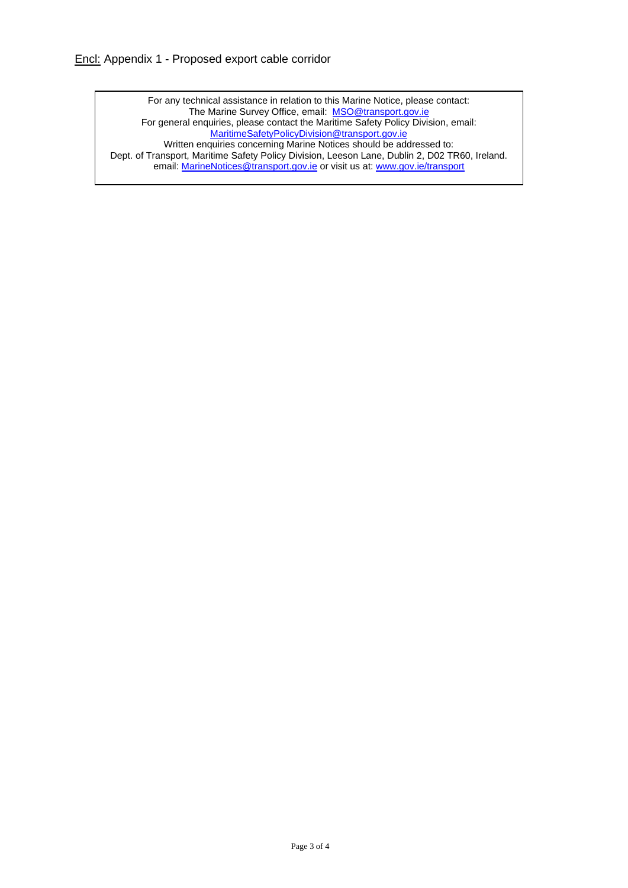For any technical assistance in relation to this Marine Notice, please contact: The Marine Survey Office, email: [MSO@transport.gov.ie](mailto:MSO@transport.gov.ie) For general enquiries, please contact the Maritime Safety Policy Division, email: [MaritimeSafetyPolicyDivision@transport.gov.ie](mailto:MaritimeSafetyPolicyDivision@transport.gov.ie) Written enquiries concerning Marine Notices should be addressed to: Dept. of Transport, Maritime Safety Policy Division, Leeson Lane, Dublin 2, D02 TR60, Ireland. email: **MarineNotices@transport.gov.ie** or visit us at: [www.gov.ie/transport](http://www.gov.ie/transport)